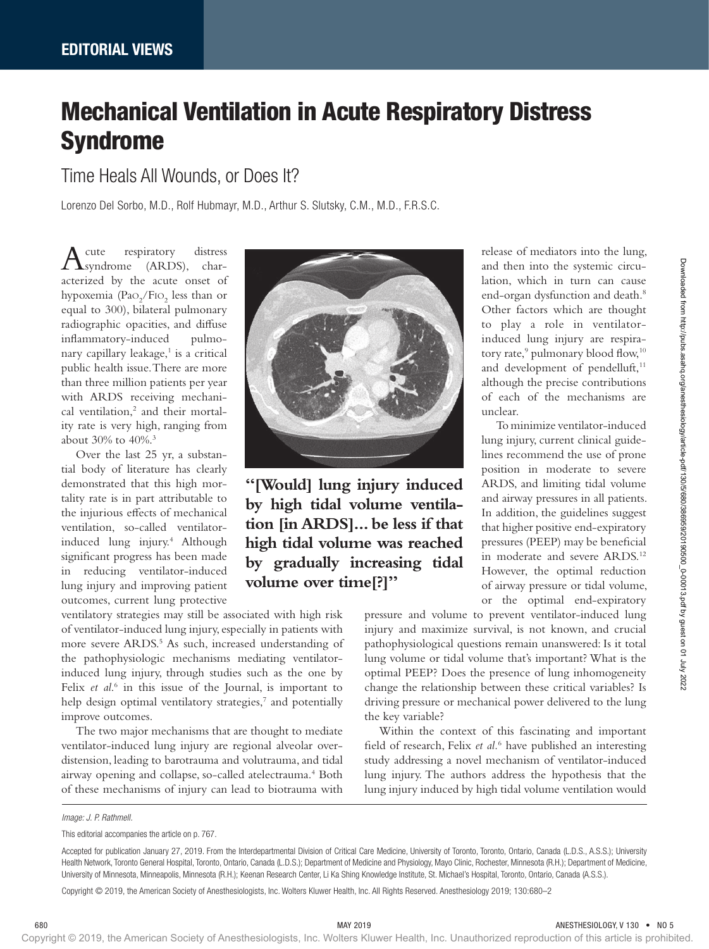## Mechanical Ventilation in Acute Respiratory Distress Syndrome

Time Heals All Wounds, or Does It?

Lorenzo Del Sorbo, M.D., Rolf Hubmayr, M.D., Arthur S. Slutsky, C.M., M.D., F.R.S.C.

Acute respiratory distress syndrome (ARDS), characterized by the acute onset of hypoxemia (Pa $O_2$ /FI $O_2$  less than or equal to 300), bilateral pulmonary radiographic opacities, and diffuse inflammatory-induced pulmonary capillary leakage,<sup>1</sup> is a critical public health issue. There are more than three million patients per year with ARDS receiving mechanical ventilation,<sup>2</sup> and their mortality rate is very high, ranging from about 30% to 40%.3

Over the last 25 yr, a substantial body of literature has clearly demonstrated that this high mortality rate is in part attributable to the injurious effects of mechanical ventilation, so-called ventilatorinduced lung injury.4 Although significant progress has been made in reducing ventilator-induced lung injury and improving patient outcomes, current lung protective

ventilatory strategies may still be associated with high risk of ventilator-induced lung injury, especially in patients with more severe ARDS.<sup>5</sup> As such, increased understanding of the pathophysiologic mechanisms mediating ventilatorinduced lung injury, through studies such as the one by Felix *et al.*<sup>6</sup> in this issue of the Journal, is important to help design optimal ventilatory strategies,<sup>7</sup> and potentially improve outcomes.

The two major mechanisms that are thought to mediate ventilator-induced lung injury are regional alveolar overdistension, leading to barotrauma and volutrauma, and tidal airway opening and collapse, so-called atelectrauma.<sup>4</sup> Both of these mechanisms of injury can lead to biotrauma with



**"[Would] lung injury induced by high tidal volume ventilation [in ARDS]... be less if that high tidal volume was reached by gradually increasing tidal volume over time[?]"**

> pressure and volume to prevent ventilator-induced lung injury and maximize survival, is not known, and crucial pathophysiological questions remain unanswered: Is it total lung volume or tidal volume that's important? What is the optimal PEEP? Does the presence of lung inhomogeneity change the relationship between these critical variables? Is driving pressure or mechanical power delivered to the lung the key variable?

unclear.

release of mediators into the lung, and then into the systemic circulation, which in turn can cause end-organ dysfunction and death.<sup>8</sup> Other factors which are thought to play a role in ventilatorinduced lung injury are respiratory rate,<sup>9</sup> pulmonary blood flow,<sup>10</sup> and development of pendelluft,<sup>11</sup> although the precise contributions of each of the mechanisms are

To minimize ventilator-induced lung injury, current clinical guidelines recommend the use of prone position in moderate to severe ARDS, and limiting tidal volume and airway pressures in all patients. In addition, the guidelines suggest that higher positive end-expiratory pressures (PEEP) may be beneficial in moderate and severe ARDS.<sup>12</sup> However, the optimal reduction of airway pressure or tidal volume, or the optimal end-expiratory

Within the context of this fascinating and important field of research, Felix *et al.*<sup>6</sup> have published an interesting study addressing a novel mechanism of ventilator-induced lung injury. The authors address the hypothesis that the lung injury induced by high tidal volume ventilation would

Copyright © 2019, the American Society of Anesthesiologists, Inc. Wolters Kluwer Health, Inc. All Rights Reserved. Anesthesiology 2019; 130:680–2

*Image: J. P. Rathmell.*

This editorial accompanies the article on p. 767.

Accepted for publication January 27, 2019. From the Interdepartmental Division of Critical Care Medicine, University of Toronto, Toronto, Ontario, Canada (L.D.S., A.S.S.); University Health Network, Toronto General Hospital, Toronto, Ontario, Canada (L.D.S.); Department of Medicine and Physiology, Mayo Clinic, Rochester, Minnesota (R.H.); Department of Medicine, University of Minnesota, Minneapolis, Minnesota (R.H.); Keenan Research Center, Li Ka Shing Knowledge Institute, St. Michael's Hospital, Toronto, Ontario, Canada (A.S.S.).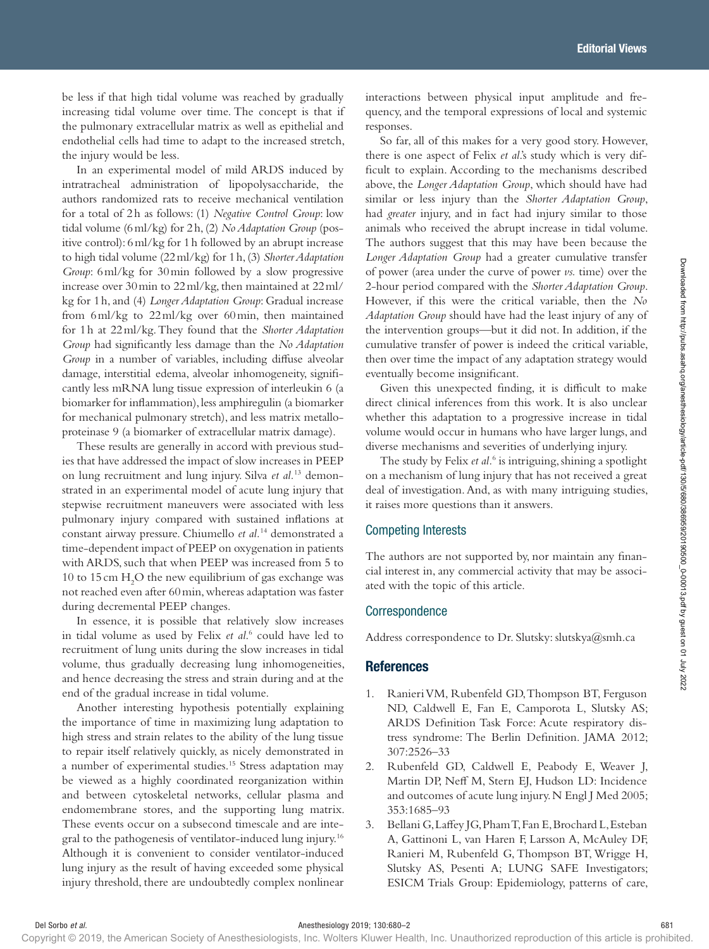be less if that high tidal volume was reached by gradually increasing tidal volume over time. The concept is that if the pulmonary extracellular matrix as well as epithelial and endothelial cells had time to adapt to the increased stretch, the injury would be less.

In an experimental model of mild ARDS induced by intratracheal administration of lipopolysaccharide, the authors randomized rats to receive mechanical ventilation for a total of 2h as follows: (1) *Negative Control Group*: low tidal volume (6ml/kg) for 2h, (2) *No Adaptation Group* (positive control): 6ml/kg for 1h followed by an abrupt increase to high tidal volume (22ml/kg) for 1h, (3) *Shorter Adaptation Group*: 6ml/kg for 30min followed by a slow progressive increase over 30min to 22ml/kg, then maintained at 22ml/ kg for 1h, and (4) *Longer Adaptation Group*: Gradual increase from 6ml/kg to 22ml/kg over 60min, then maintained for 1h at 22ml/kg. They found that the *Shorter Adaptation Group* had significantly less damage than the *No Adaptation Group* in a number of variables, including diffuse alveolar damage, interstitial edema, alveolar inhomogeneity, significantly less mRNA lung tissue expression of interleukin 6 (a biomarker for inflammation), less amphiregulin (a biomarker for mechanical pulmonary stretch), and less matrix metalloproteinase 9 (a biomarker of extracellular matrix damage).

These results are generally in accord with previous studies that have addressed the impact of slow increases in PEEP on lung recruitment and lung injury. Silva *et al.*13 demonstrated in an experimental model of acute lung injury that stepwise recruitment maneuvers were associated with less pulmonary injury compared with sustained inflations at constant airway pressure. Chiumello *et al.*14 demonstrated a time-dependent impact of PEEP on oxygenation in patients with ARDS, such that when PEEP was increased from 5 to  $10$  to  $15\,\mathrm{cm}$   $\mathrm{H}_2\mathrm{O}$  the new equilibrium of gas exchange was not reached even after 60min, whereas adaptation was faster during decremental PEEP changes.

In essence, it is possible that relatively slow increases in tidal volume as used by Felix *et al*. 6 could have led to recruitment of lung units during the slow increases in tidal volume, thus gradually decreasing lung inhomogeneities, and hence decreasing the stress and strain during and at the end of the gradual increase in tidal volume.

Another interesting hypothesis potentially explaining the importance of time in maximizing lung adaptation to high stress and strain relates to the ability of the lung tissue to repair itself relatively quickly, as nicely demonstrated in a number of experimental studies.15 Stress adaptation may be viewed as a highly coordinated reorganization within and between cytoskeletal networks, cellular plasma and endomembrane stores, and the supporting lung matrix. These events occur on a subsecond timescale and are integral to the pathogenesis of ventilator-induced lung injury.16 Although it is convenient to consider ventilator-induced lung injury as the result of having exceeded some physical injury threshold, there are undoubtedly complex nonlinear Georg Starting in Strain indicates a propose of provides and the convention of the starting provides and the starting in the starting of the starting in the starting of the starting in the starting of the starting in the

interactions between physical input amplitude and frequency, and the temporal expressions of local and systemic responses.

So far, all of this makes for a very good story. However, there is one aspect of Felix *et al*.'s study which is very difficult to explain. According to the mechanisms described above, the *Longer Adaptation Group*, which should have had similar or less injury than the *Shorter Adaptation Group*, had *greater* injury, and in fact had injury similar to those animals who received the abrupt increase in tidal volume. The authors suggest that this may have been because the *Longer Adaptation Group* had a greater cumulative transfer of power (area under the curve of power *vs.* time) over the 2-hour period compared with the *Shorter Adaptation Group*. However, if this were the critical variable, then the *No Adaptation Group* should have had the least injury of any of the intervention groups—but it did not. In addition, if the cumulative transfer of power is indeed the critical variable, then over time the impact of any adaptation strategy would eventually become insignificant.

Given this unexpected finding, it is difficult to make direct clinical inferences from this work. It is also unclear whether this adaptation to a progressive increase in tidal volume would occur in humans who have larger lungs, and diverse mechanisms and severities of underlying injury.

The study by Felix *et al.*<sup>6</sup> is intriguing, shining a spotlight on a mechanism of lung injury that has not received a great deal of investigation. And, as with many intriguing studies, it raises more questions than it answers.

## Competing Interests

The authors are not supported by, nor maintain any financial interest in, any commercial activity that may be associated with the topic of this article.

## Correspondence

Address correspondence to Dr. Slutsky: slutskya@smh.ca

## **References**

- 1. Ranieri VM, Rubenfeld GD, Thompson BT, Ferguson ND, Caldwell E, Fan E, Camporota L, Slutsky AS; ARDS Definition Task Force: Acute respiratory distress syndrome: The Berlin Definition. JAMA 2012; 307:2526–33
- 2. Rubenfeld GD, Caldwell E, Peabody E, Weaver J, Martin DP, Neff M, Stern EJ, Hudson LD: Incidence and outcomes of acute lung injury. N Engl J Med 2005; 353:1685–93
- 3. Bellani G, Laffey JG, Pham T, Fan E, Brochard L, Esteban A, Gattinoni L, van Haren F, Larsson A, McAuley DF, Ranieri M, Rubenfeld G, Thompson BT, Wrigge H, Slutsky AS, Pesenti A; LUNG SAFE Investigators; ESICM Trials Group: Epidemiology, patterns of care,